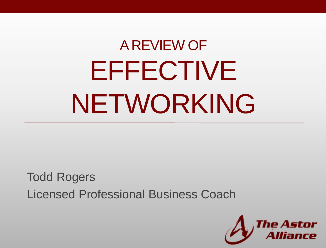# A REVIEW OF EFFECTIVE NETWORKING

Todd Rogers Licensed Professional Business Coach

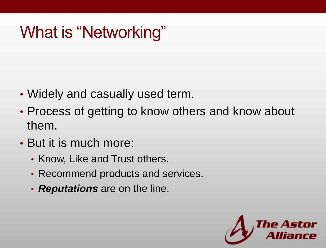# What is "Networking"

- Widely and casually used term.
- Process of getting to know others and know about them.
- But it is much more:
	- Know, Like and Trust others.
	- Recommend products and services.
	- *Reputations* are on the line.

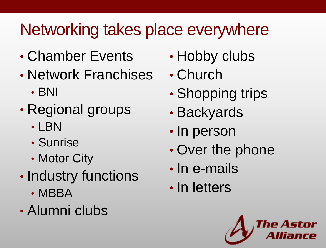# Networking takes place everywhere

- Chamber Events
- Network Franchises
	- BNI
- Regional groups
	- LBN
	- Sunrise
	- Motor City
- Industry functions
	- MBBA
- Alumni clubs
- Hobby clubs
- Church
- Shopping trips
- Backyards
- In person
- Over the phone
- In e-mails
- In letters

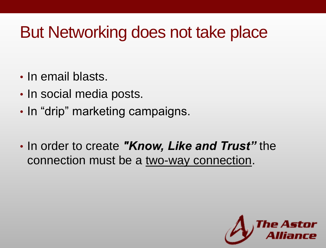## But Networking does not take place

- In email blasts.
- In social media posts.
- In "drip" marketing campaigns.
- In order to create *"Know, Like and Trust"* the connection must be a two-way connection.

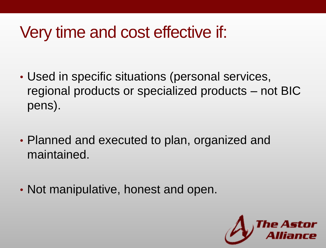## Very time and cost effective if:

- Used in specific situations (personal services, regional products or specialized products – not BIC pens).
- Planned and executed to plan, organized and maintained.
- Not manipulative, honest and open.

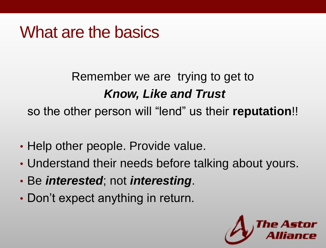#### What are the basics

#### Remember we are trying to get to *Know, Like and Trust* so the other person will "lend" us their **reputation**!!

- Help other people. Provide value.
- Understand their needs before talking about yours.
- Be *interested*; not *interesting*.
- Don't expect anything in return.

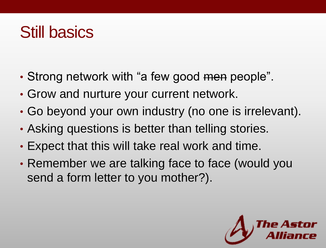#### Still basics

- Strong network with "a few good men people".
- Grow and nurture your current network.
- Go beyond your own industry (no one is irrelevant).
- Asking questions is better than telling stories.
- Expect that this will take real work and time.
- Remember we are talking face to face (would you send a form letter to you mother?).

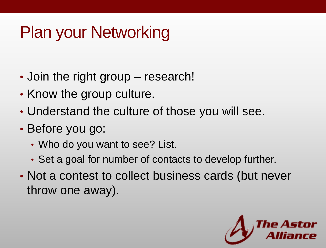# Plan your Networking

- Join the right group research!
- Know the group culture.
- Understand the culture of those you will see.
- Before you go:
	- Who do you want to see? List.
	- Set a goal for number of contacts to develop further.
- Not a contest to collect business cards (but never throw one away).

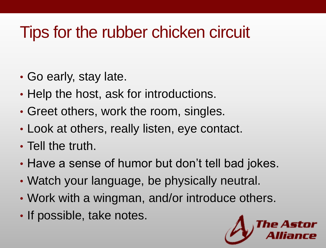## Tips for the rubber chicken circuit

- Go early, stay late.
- Help the host, ask for introductions.
- Greet others, work the room, singles.
- Look at others, really listen, eye contact.
- Tell the truth.
- Have a sense of humor but don't tell bad jokes.
- Watch your language, be physically neutral.
- Work with a wingman, and/or introduce others.
- If possible, take notes.

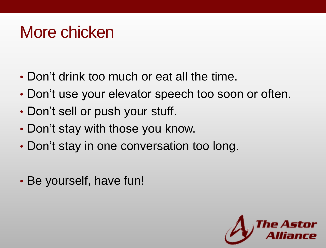#### More chicken

- Don't drink too much or eat all the time.
- Don't use your elevator speech too soon or often.
- Don't sell or push your stuff.
- Don't stay with those you know.
- Don't stay in one conversation too long.
- Be yourself, have fun!

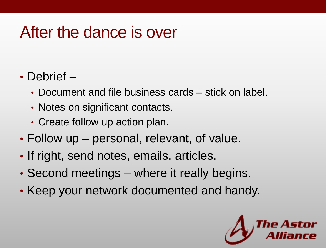#### After the dance is over

#### • Debrief –

- Document and file business cards stick on label.
- Notes on significant contacts.
- Create follow up action plan.
- Follow up personal, relevant, of value.
- If right, send notes, emails, articles.
- Second meetings where it really begins.
- Keep your network documented and handy.

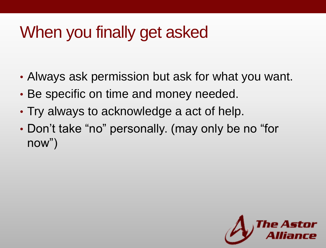# When you finally get asked

- Always ask permission but ask for what you want.
- Be specific on time and money needed.
- Try always to acknowledge a act of help.
- Don't take "no" personally. (may only be no "for now")

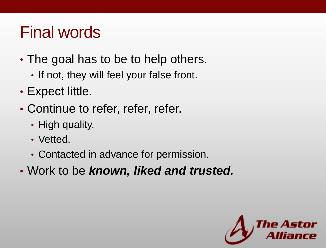## Final words

- The goal has to be to help others.
	- If not, they will feel your false front.
- Expect little.
- Continue to refer, refer, refer.
	- High quality.
	- Vetted.
	- Contacted in advance for permission.
- Work to be *known, liked and trusted.*

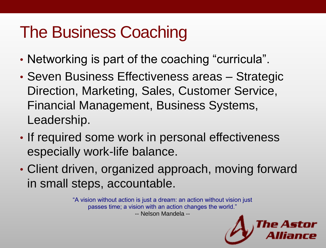## The Business Coaching

- Networking is part of the coaching "curricula".
- Seven Business Effectiveness areas Strategic Direction, Marketing, Sales, Customer Service, Financial Management, Business Systems, Leadership.
- If required some work in personal effectiveness especially work-life balance.
- Client driven, organized approach, moving forward in small steps, accountable.

"A vision without action is just a dream: an action without vision just passes time; a vision with an action changes the world." -- Nelson Mandela --

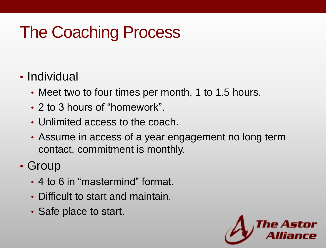# The Coaching Process

#### • Individual

- Meet two to four times per month, 1 to 1.5 hours.
- 2 to 3 hours of "homework".
- Unlimited access to the coach.
- Assume in access of a year engagement no long term contact, commitment is monthly.

#### • Group

- 4 to 6 in "mastermind" format.
- Difficult to start and maintain.
- Safe place to start.